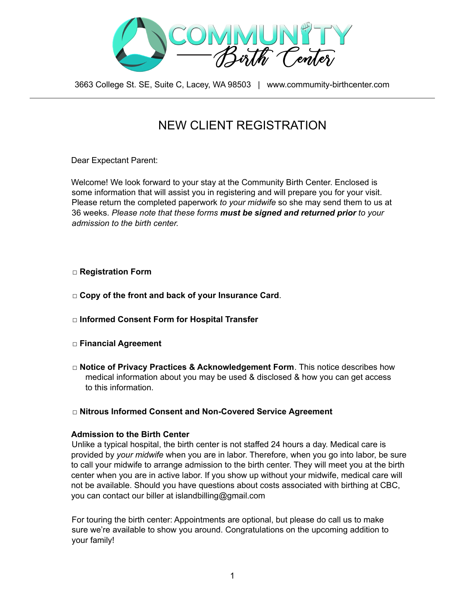

# NEW CLIENT REGISTRATION

Dear Expectant Parent:

Welcome! We look forward to your stay at the Community Birth Center. Enclosed is some information that will assist you in registering and will prepare you for your visit. Please return the completed paperwork *to your midwife* so she may send them to us at 36 weeks. *Please note that these forms must be signed and returned prior to your admission to the birth center.*

#### □ **Registration Form**

- □ **Copy of the front and back of your Insurance Card**.
- □ **Informed Consent Form for Hospital Transfer**
- □ **Financial Agreement**
- □ **Notice of Privacy Practices & Acknowledgement Form**. This notice describes how medical information about you may be used & disclosed & how you can get access to this information.

#### □ **Nitrous Informed Consent and Non-Covered Service Agreement**

#### **Admission to the Birth Center**

Unlike a typical hospital, the birth center is not staffed 24 hours a day. Medical care is provided by *your midwife* when you are in labor. Therefore, when you go into labor, be sure to call your midwife to arrange admission to the birth center. They will meet you at the birth center when you are in active labor. If you show up without your midwife, medical care will not be available. Should you have questions about costs associated with birthing at CBC, you can contact our biller at islandbilling@gmail.com

For touring the birth center: Appointments are optional, but please do call us to make sure we're available to show you around. Congratulations on the upcoming addition to your family!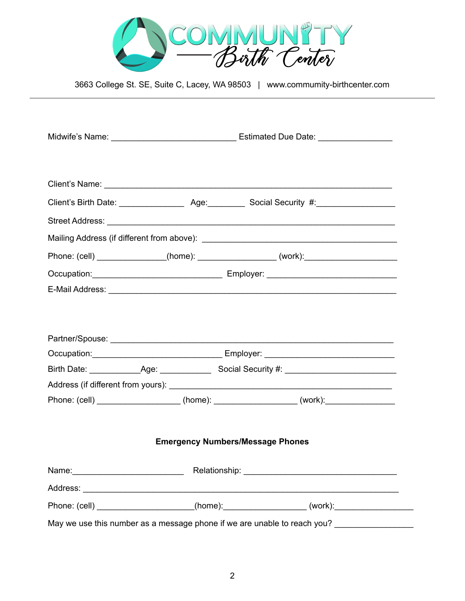

|                                                                          | Phone: (cell) _______________(home): ________________(work): ___________________                                                                                                                                               |  |  |  |
|--------------------------------------------------------------------------|--------------------------------------------------------------------------------------------------------------------------------------------------------------------------------------------------------------------------------|--|--|--|
|                                                                          | Occupation: Contract Contract Contract Contract Contract Contract Contract Contract Contract Contract Contract Contract Contract Contract Contract Contract Contract Contract Contract Contract Contract Contract Contract Con |  |  |  |
|                                                                          | E-Mail Address: National Address: National Address of Address Contract and Address Contract and Address Contract and Address Contract and Address Contract and Address Contract and Address Contract and Address Contract and  |  |  |  |
|                                                                          |                                                                                                                                                                                                                                |  |  |  |
|                                                                          |                                                                                                                                                                                                                                |  |  |  |
|                                                                          |                                                                                                                                                                                                                                |  |  |  |
|                                                                          | Occupation: Employer: Employer:                                                                                                                                                                                                |  |  |  |
|                                                                          |                                                                                                                                                                                                                                |  |  |  |
|                                                                          |                                                                                                                                                                                                                                |  |  |  |
|                                                                          | Phone: (cell) ___________________(home): ________________(work):________________                                                                                                                                               |  |  |  |
|                                                                          |                                                                                                                                                                                                                                |  |  |  |
| <b>Emergency Numbers/Message Phones</b>                                  |                                                                                                                                                                                                                                |  |  |  |
|                                                                          |                                                                                                                                                                                                                                |  |  |  |
|                                                                          | Name: Name: Name: Name: Name: Name: Name: Name: Name: Name: Name: Name: Name: Name: Name: Name: Name: Name: Name: Name: Name: Name: Name: Name: Name: Name: Name: Name: Name: Name: Name: Name: Name: Name: Name: Name: Name:  |  |  |  |
|                                                                          |                                                                                                                                                                                                                                |  |  |  |
|                                                                          | Phone: (cell) ____________________(home):________________(work):________________                                                                                                                                               |  |  |  |
| May we use this number as a message phone if we are unable to reach you? |                                                                                                                                                                                                                                |  |  |  |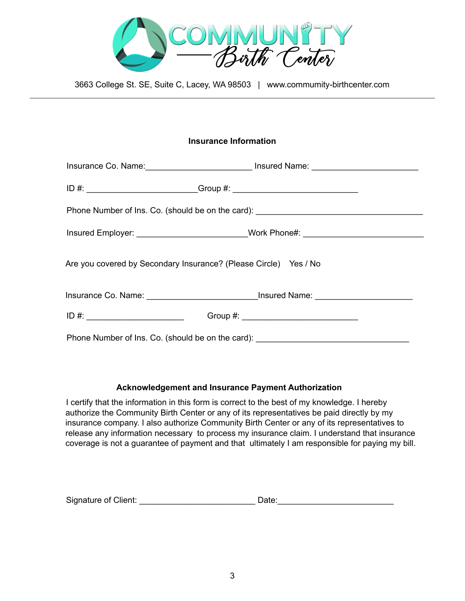

### **Insurance Information**

| Phone Number of Ins. Co. (should be on the card): _______________________________ |                                                                                  |  |  |
|-----------------------------------------------------------------------------------|----------------------------------------------------------------------------------|--|--|
|                                                                                   | Insured Employer: _________________________Work Phone#: ________________________ |  |  |
| Are you covered by Secondary Insurance? (Please Circle) Yes / No                  |                                                                                  |  |  |
|                                                                                   |                                                                                  |  |  |
| $ID \#:$                                                                          |                                                                                  |  |  |
| Phone Number of Ins. Co. (should be on the card):                                 |                                                                                  |  |  |

#### **Acknowledgement and Insurance Payment Authorization**

I certify that the information in this form is correct to the best of my knowledge. I hereby authorize the Community Birth Center or any of its representatives be paid directly by my insurance company. I also authorize Community Birth Center or any of its representatives to release any information necessary to process my insurance claim. I understand that insurance coverage is not a guarantee of payment and that ultimately I am responsible for paying my bill.

Signature of Client: \_\_\_\_\_\_\_\_\_\_\_\_\_\_\_\_\_\_\_\_\_\_\_\_\_ Date:\_\_\_\_\_\_\_\_\_\_\_\_\_\_\_\_\_\_\_\_\_\_\_\_\_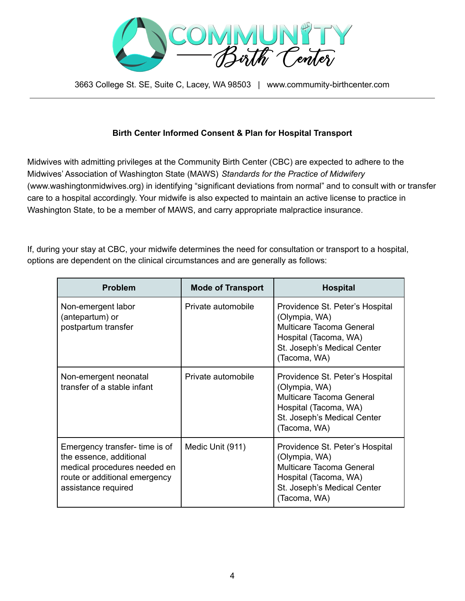

## **Birth Center Informed Consent & Plan for Hospital Transport**

Midwives with admitting privileges at the Community Birth Center (CBC) are expected to adhere to the Midwives' Association of Washington State (MAWS) *Standards for the Practice of Midwifery* (www.washingtonmidwives.org) in identifying "significant deviations from normal" and to consult with or transfer care to a hospital accordingly. Your midwife is also expected to maintain an active license to practice in Washington State, to be a member of MAWS, and carry appropriate malpractice insurance.

If, during your stay at CBC, your midwife determines the need for consultation or transport to a hospital, options are dependent on the clinical circumstances and are generally as follows:

| <b>Problem</b>                                                                                                                                   | <b>Mode of Transport</b> | <b>Hospital</b>                                                                                                                                      |
|--------------------------------------------------------------------------------------------------------------------------------------------------|--------------------------|------------------------------------------------------------------------------------------------------------------------------------------------------|
| Non-emergent labor<br>(antepartum) or<br>postpartum transfer                                                                                     | Private automobile       | Providence St. Peter's Hospital<br>(Olympia, WA)<br>Multicare Tacoma General<br>Hospital (Tacoma, WA)<br>St. Joseph's Medical Center<br>(Tacoma, WA) |
| Non-emergent neonatal<br>transfer of a stable infant                                                                                             | Private automobile       | Providence St. Peter's Hospital<br>(Olympia, WA)<br>Multicare Tacoma General<br>Hospital (Tacoma, WA)<br>St. Joseph's Medical Center<br>(Tacoma, WA) |
| Emergency transfer-time is of<br>the essence, additional<br>medical procedures needed en<br>route or additional emergency<br>assistance required | Medic Unit (911)         | Providence St. Peter's Hospital<br>(Olympia, WA)<br>Multicare Tacoma General<br>Hospital (Tacoma, WA)<br>St. Joseph's Medical Center<br>(Tacoma, WA) |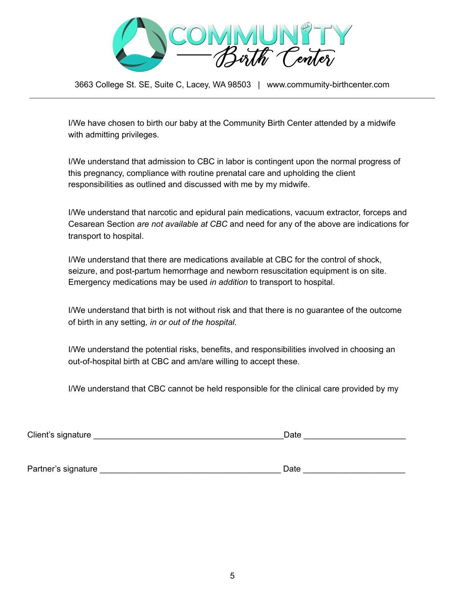

I/We have chosen to birth our baby at the Community Birth Center attended by a midwife with admitting privileges.

I/We understand that admission to CBC in labor is contingent upon the normal progress of this pregnancy, compliance with routine prenatal care and upholding the client responsibilities as outlined and discussed with me by my midwife.

I/We understand that narcotic and epidural pain medications, vacuum extractor, forceps and Cesarean Section *are not available at CBC* and need for any of the above are indications for transport to hospital.

I/We understand that there are medications available at CBC for the control of shock, seizure, and post-partum hemorrhage and newborn resuscitation equipment is on site. Emergency medications may be used *in addition* to transport to hospital.

I/We understand that birth is not without risk and that there is no guarantee of the outcome of birth in any setting*, in or out of the hospital.*

I/We understand the potential risks, benefits, and responsibilities involved in choosing an out-of-hospital birth at CBC and am/are willing to accept these.

I/We understand that CBC cannot be held responsible for the clinical care provided by my

Client's signature example of the state of the state of the state of the state of the state of the state of the state of the state of the state of the state of the state of the state of the state of the state of the state

Partner's signature \_\_\_\_\_\_\_\_\_\_\_\_\_\_\_\_\_\_\_\_\_\_\_\_\_\_\_\_\_\_\_\_\_\_\_\_\_\_\_ Date \_\_\_\_\_\_\_\_\_\_\_\_\_\_\_\_\_\_\_\_\_\_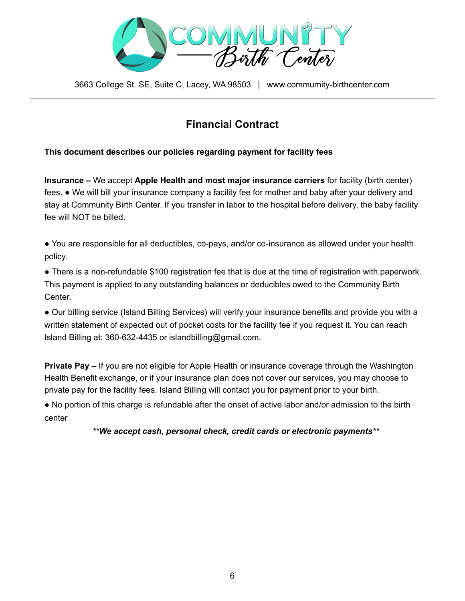

# **Financial Contract**

## **This document describes our policies regarding payment for facility fees**

**Insurance –** We accept **Apple Health and most major insurance carriers** for facility (birth center) fees. **●** We will bill your insurance company a facility fee for mother and baby after your delivery and stay at Community Birth Center. If you transfer in labor to the hospital before delivery, the baby facility fee will NOT be billed.

**●** You are responsible for all deductibles, co-pays, and/or co-insurance as allowed under your health policy.

**●** There is a non-refundable \$100 registration fee that is due at the time of registration with paperwork. This payment is applied to any outstanding balances or deducibles owed to the Community Birth Center.

**●** Our billing service (Island Billing Services) will verify your insurance benefits and provide you with a written statement of expected out of pocket costs for the facility fee if you request it. You can reach Island Billing at: 360-632-4435 or islandbilling@gmail.com.

**Private Pay –** If you are not eligible for Apple Health or insurance coverage through the Washington Health Benefit exchange, or if your insurance plan does not cover our services, you may choose to private pay for the facility fees. Island Billing will contact you for payment prior to your birth.

● No portion of this charge is refundable after the onset of active labor and/or admission to the birth center

## *\*\*We accept cash, personal check, credit cards or electronic payments\*\**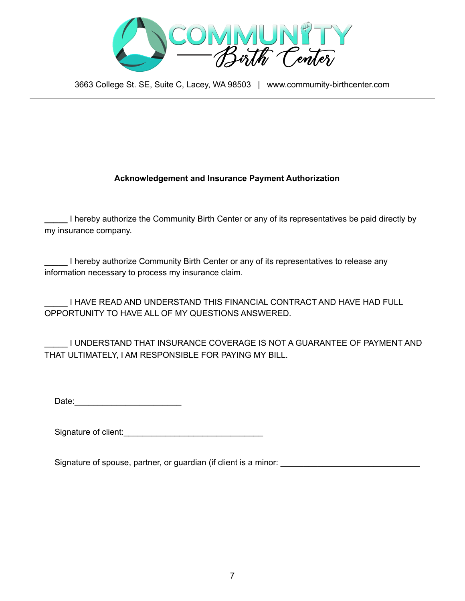

## **Acknowledgement and Insurance Payment Authorization**

**\_\_\_\_\_** I hereby authorize the Community Birth Center or any of its representatives be paid directly by my insurance company.

I hereby authorize Community Birth Center or any of its representatives to release any information necessary to process my insurance claim.

\_\_\_\_\_ I HAVE READ AND UNDERSTAND THIS FINANCIAL CONTRACT AND HAVE HAD FULL OPPORTUNITY TO HAVE ALL OF MY QUESTIONS ANSWERED.

I UNDERSTAND THAT INSURANCE COVERAGE IS NOT A GUARANTEE OF PAYMENT AND THAT ULTIMATELY, I AM RESPONSIBLE FOR PAYING MY BILL.

Date:\_\_\_\_\_\_\_\_\_\_\_\_\_\_\_\_\_\_\_\_\_\_\_

Signature of client:\_\_\_\_\_\_\_\_\_\_\_\_\_\_\_\_\_\_\_\_\_\_\_\_\_\_\_\_\_\_

Signature of spouse, partner, or guardian (if client is a minor: \_\_\_\_\_\_\_\_\_\_\_\_\_\_\_\_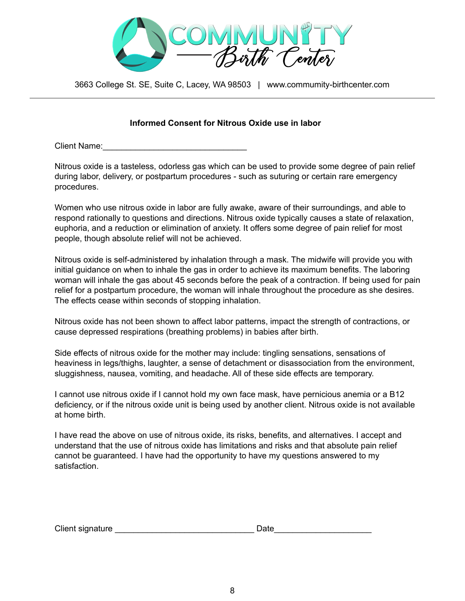

### **Informed Consent for Nitrous Oxide use in labor**

Client Name:

Nitrous oxide is a tasteless, odorless gas which can be used to provide some degree of pain relief during labor, delivery, or postpartum procedures - such as suturing or certain rare emergency procedures.

Women who use nitrous oxide in labor are fully awake, aware of their surroundings, and able to respond rationally to questions and directions. Nitrous oxide typically causes a state of relaxation, euphoria, and a reduction or elimination of anxiety. It offers some degree of pain relief for most people, though absolute relief will not be achieved.

Nitrous oxide is self-administered by inhalation through a mask. The midwife will provide you with initial guidance on when to inhale the gas in order to achieve its maximum benefits. The laboring woman will inhale the gas about 45 seconds before the peak of a contraction. If being used for pain relief for a postpartum procedure, the woman will inhale throughout the procedure as she desires. The effects cease within seconds of stopping inhalation.

Nitrous oxide has not been shown to affect labor patterns, impact the strength of contractions, or cause depressed respirations (breathing problems) in babies after birth.

Side effects of nitrous oxide for the mother may include: tingling sensations, sensations of heaviness in legs/thighs, laughter, a sense of detachment or disassociation from the environment, sluggishness, nausea, vomiting, and headache. All of these side effects are temporary.

I cannot use nitrous oxide if I cannot hold my own face mask, have pernicious anemia or a B12 deficiency, or if the nitrous oxide unit is being used by another client. Nitrous oxide is not available at home birth.

I have read the above on use of nitrous oxide, its risks, benefits, and alternatives. I accept and understand that the use of nitrous oxide has limitations and risks and that absolute pain relief cannot be guaranteed. I have had the opportunity to have my questions answered to my satisfaction.

| Client signature |  |
|------------------|--|
|------------------|--|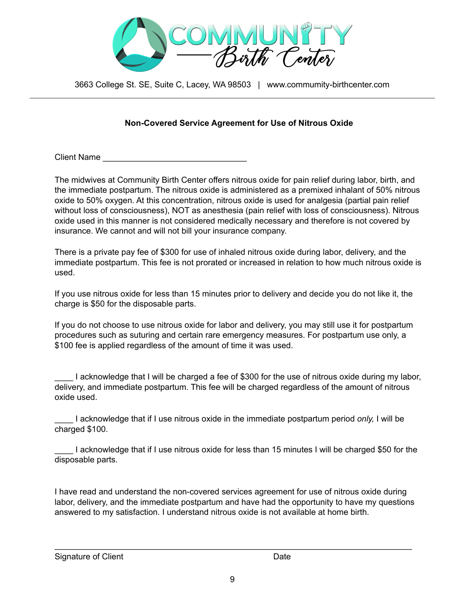

## **Non-Covered Service Agreement for Use of Nitrous Oxide**

Client Name

The midwives at Community Birth Center offers nitrous oxide for pain relief during labor, birth, and the immediate postpartum. The nitrous oxide is administered as a premixed inhalant of 50% nitrous oxide to 50% oxygen. At this concentration, nitrous oxide is used for analgesia (partial pain relief without loss of consciousness), NOT as anesthesia (pain relief with loss of consciousness). Nitrous oxide used in this manner is not considered medically necessary and therefore is not covered by insurance. We cannot and will not bill your insurance company.

There is a private pay fee of \$300 for use of inhaled nitrous oxide during labor, delivery, and the immediate postpartum. This fee is not prorated or increased in relation to how much nitrous oxide is used.

If you use nitrous oxide for less than 15 minutes prior to delivery and decide you do not like it, the charge is \$50 for the disposable parts.

If you do not choose to use nitrous oxide for labor and delivery, you may still use it for postpartum procedures such as suturing and certain rare emergency measures. For postpartum use only, a \$100 fee is applied regardless of the amount of time it was used.

I acknowledge that I will be charged a fee of \$300 for the use of nitrous oxide during my labor, delivery, and immediate postpartum. This fee will be charged regardless of the amount of nitrous oxide used.

\_\_\_\_ I acknowledge that if I use nitrous oxide in the immediate postpartum period *only,* I will be charged \$100.

\_\_\_\_ I acknowledge that if I use nitrous oxide for less than 15 minutes I will be charged \$50 for the disposable parts.

I have read and understand the non-covered services agreement for use of nitrous oxide during labor, delivery, and the immediate postpartum and have had the opportunity to have my questions answered to my satisfaction. I understand nitrous oxide is not available at home birth.

\_\_\_\_\_\_\_\_\_\_\_\_\_\_\_\_\_\_\_\_\_\_\_\_\_\_\_\_\_\_\_\_\_\_\_\_\_\_\_\_\_\_\_\_\_\_\_\_\_\_\_\_\_\_\_\_\_\_\_\_\_\_\_\_\_\_\_\_\_\_\_\_\_\_\_\_\_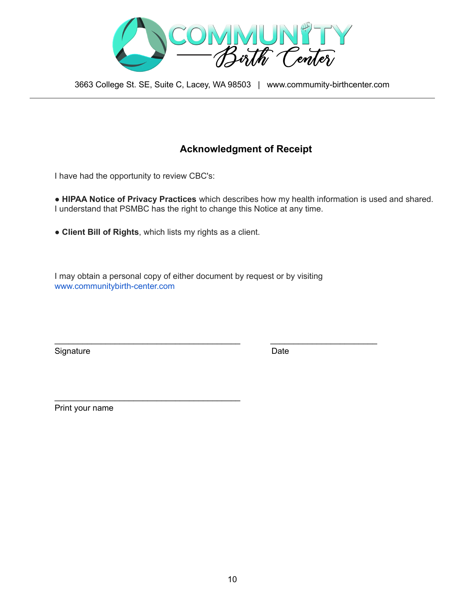

## **Acknowledgment of Receipt**

I have had the opportunity to review CBC's:

● **HIPAA Notice of Privacy Practices** which describes how my health information is used and shared. I understand that PSMBC has the right to change this Notice at any time.

**● Client Bill of Rights**, which lists my rights as a client.

\_\_\_\_\_\_\_\_\_\_\_\_\_\_\_\_\_\_\_\_\_\_\_\_\_\_\_\_\_\_\_\_\_\_\_\_\_\_\_\_

I may obtain a personal copy of either document by request or by visiting www.communitybirth-center.com

\_\_\_\_\_\_\_\_\_\_\_\_\_\_\_\_\_\_\_\_\_\_\_\_\_\_\_\_\_\_\_\_\_\_\_\_\_\_\_\_ \_\_\_\_\_\_\_\_\_\_\_\_\_\_\_\_\_\_\_\_\_\_\_

Signature Date **Date** 

Print your name